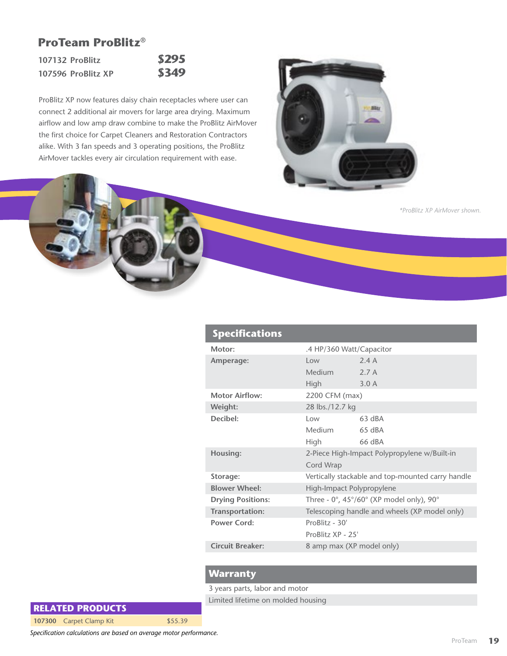## **ProTeam ProBlitz®**

**107132 ProBlitz \$295 107596 ProBlitz XP \$349**

ProBlitz XP now features daisy chain receptacles where user can connect 2 additional air movers for large area drying. Maximum airflow and low amp draw combine to make the ProBlitz AirMover the first choice for Carpet Cleaners and Restoration Contractors alike. With 3 fan speeds and 3 operating positions, the ProBlitz AirMover tackles every air circulation requirement with ease.



```
*ProBlitz XP AirMover shown.
```

| <b>Specifications</b>           |                                                                           |          |  |
|---------------------------------|---------------------------------------------------------------------------|----------|--|
| Motor:                          | .4 HP/360 Watt/Capacitor                                                  |          |  |
| Amperage:                       | l ow                                                                      | 24A      |  |
|                                 | <b>Medium</b>                                                             | 2.7A     |  |
|                                 | <b>High</b>                                                               | 3.0A     |  |
| <b>Motor Airflow:</b>           | 2200 CFM (max)                                                            |          |  |
| Weight:                         | 28 lbs./12.7 kg                                                           |          |  |
| Decibel:                        | $\log$                                                                    | 63 dBA   |  |
|                                 | Medium                                                                    | $65$ dBA |  |
|                                 | High                                                                      | 66 dBA   |  |
| Housing:                        | 2-Piece High-Impact Polypropylene w/Built-in                              |          |  |
|                                 | Cord Wrap                                                                 |          |  |
| Storage:                        | Vertically stackable and top-mounted carry handle                         |          |  |
| <b>Blower Wheel:</b>            | High-Impact Polypropylene                                                 |          |  |
| <b>Drying Positions:</b>        | Three - $0^\circ$ , 45 $^\circ$ /60 $^\circ$ (XP model only), 90 $^\circ$ |          |  |
| Transportation:                 | Telescoping handle and wheels (XP model only)                             |          |  |
| $ProBlitz - 30'$<br>Power Cord: |                                                                           |          |  |
|                                 | ProBlitz XP - 25'                                                         |          |  |
| Circuit Breaker:                | 8 amp max (XP model only)                                                 |          |  |
|                                 |                                                                           |          |  |

## **Warranty**

3 years parts, labor and motor

Limited lifetime on molded housing

**RELATED PRODUCTS**

**107300** Carpet Clamp Kit \$55.39

*Specification calculations are based on average motor performance.*